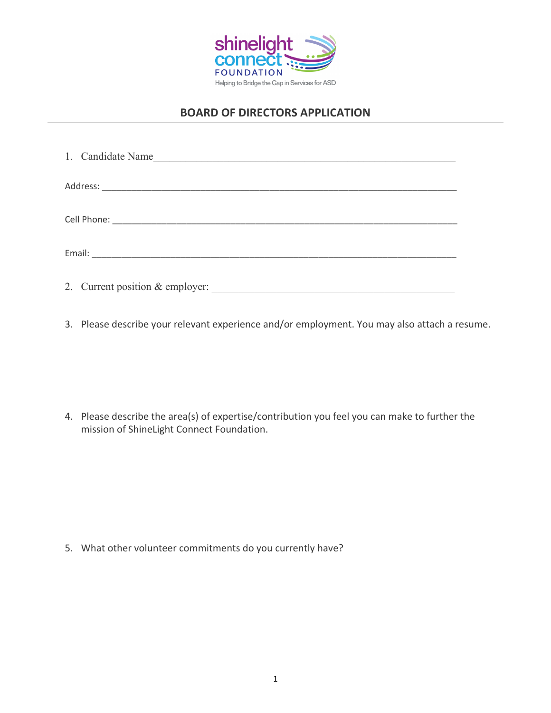

## **BOARD OF DIRECTORS APPLICATION**

| 1. Candidate Name<br><u> 1990 - Johann John Harry Harry Harry Harry Harry Harry Harry Harry Harry Harry Harry Harry Harry Harry Harry H</u> |
|---------------------------------------------------------------------------------------------------------------------------------------------|
|                                                                                                                                             |
|                                                                                                                                             |
|                                                                                                                                             |
| 2. Current position & employer:                                                                                                             |

3. Please describe your relevant experience and/or employment. You may also attach a resume.

4. Please describe the area(s) of expertise/contribution you feel you can make to further the mission of ShineLight Connect Foundation.

5. What other volunteer commitments do you currently have?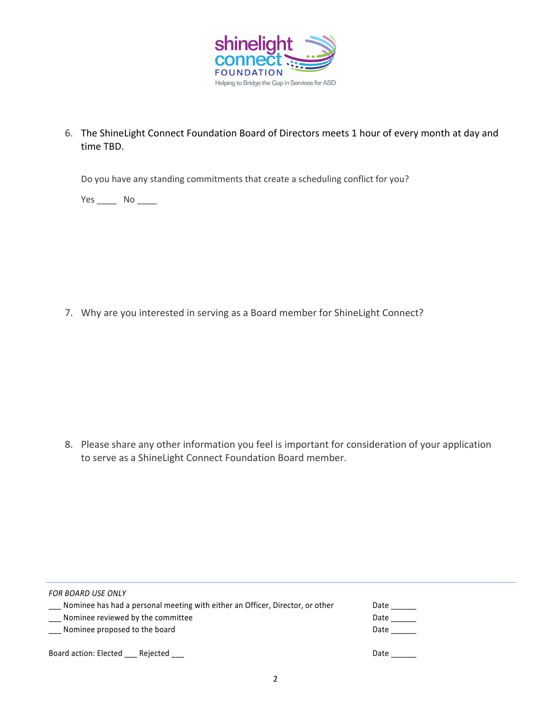

6. The ShineLight Connect Foundation Board of Directors meets 1 hour of every month at day and time TBD.

Do you have any standing commitments that create a scheduling conflict for you?

Yes \_\_\_\_\_\_\_ No \_\_\_\_\_

7. Why are you interested in serving as a Board member for ShineLight Connect?

8. Please share any other information you feel is important for consideration of your application to serve as a ShineLight Connect Foundation Board member.

| <b>FOR BOARD USE ONLY</b>                                                     |      |
|-------------------------------------------------------------------------------|------|
| Mominee has had a personal meeting with either an Officer, Director, or other | Date |
| Nominee reviewed by the committee                                             | Date |
| Nominee proposed to the board                                                 | Date |
| Board action: Elected<br>Rejected                                             | Date |